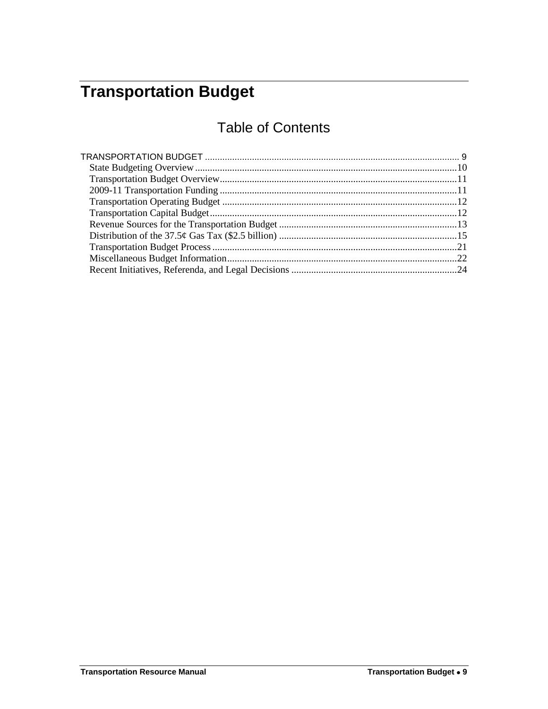# <span id="page-0-0"></span>**Transportation Budget**

# Table of Contents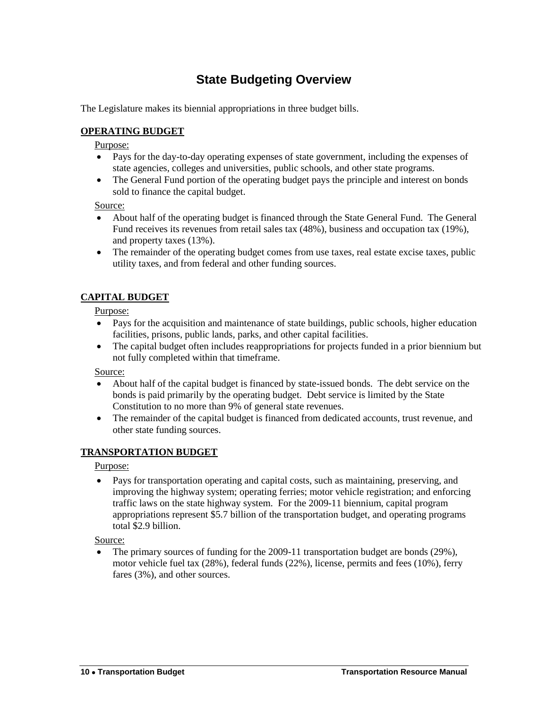# **State Budgeting Overview**

<span id="page-1-0"></span>The Legislature makes its biennial appropriations in three budget bills.

#### **OPERATING BUDGET**

#### Purpose:

- Pays for the day-to-day operating expenses of state government, including the expenses of state agencies, colleges and universities, public schools, and other state programs.
- The General Fund portion of the operating budget pays the principle and interest on bonds sold to finance the capital budget.

Source:

- About half of the operating budget is financed through the State General Fund. The General Fund receives its revenues from retail sales tax (48%), business and occupation tax (19%), and property taxes (13%).
- The remainder of the operating budget comes from use taxes, real estate excise taxes, public utility taxes, and from federal and other funding sources.

### **CAPITAL BUDGET**

#### Purpose:

- Pays for the acquisition and maintenance of state buildings, public schools, higher education facilities, prisons, public lands, parks, and other capital facilities.
- The capital budget often includes reappropriations for projects funded in a prior biennium but not fully completed within that timeframe.

Source:

- About half of the capital budget is financed by state-issued bonds. The debt service on the bonds is paid primarily by the operating budget. Debt service is limited by the State Constitution to no more than 9% of general state revenues.
- The remainder of the capital budget is financed from dedicated accounts, trust revenue, and other state funding sources.

### **TRANSPORTATION BUDGET**

#### Purpose:

 Pays for transportation operating and capital costs, such as maintaining, preserving, and improving the highway system; operating ferries; motor vehicle registration; and enforcing traffic laws on the state highway system. For the 2009-11 biennium, capital program appropriations represent \$5.7 billion of the transportation budget, and operating programs total \$2.9 billion.

Source:

• The primary sources of funding for the 2009-11 transportation budget are bonds (29%), motor vehicle fuel tax (28%), federal funds (22%), license, permits and fees (10%), ferry fares (3%), and other sources.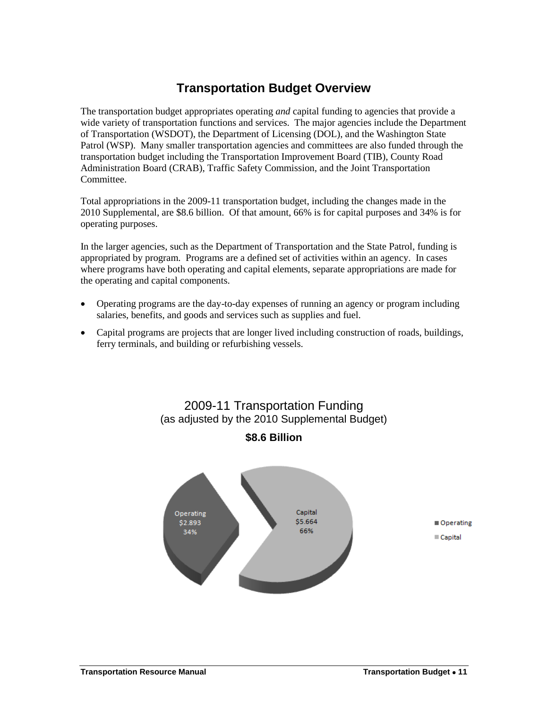# **Transportation Budget Overview**

<span id="page-2-0"></span>The transportation budget appropriates operating *and* capital funding to agencies that provide a wide variety of transportation functions and services. The major agencies include the Department of Transportation (WSDOT), the Department of Licensing (DOL), and the Washington State Patrol (WSP). Many smaller transportation agencies and committees are also funded through the transportation budget including the Transportation Improvement Board (TIB), County Road Administration Board (CRAB), Traffic Safety Commission, and the Joint Transportation Committee.

Total appropriations in the 2009-11 transportation budget, including the changes made in the 2010 Supplemental, are \$8.6 billion. Of that amount, 66% is for capital purposes and 34% is for operating purposes.

In the larger agencies, such as the Department of Transportation and the State Patrol, funding is appropriated by program. Programs are a defined set of activities within an agency. In cases where programs have both operating and capital elements, separate appropriations are made for the operating and capital components.

- Operating programs are the day-to-day expenses of running an agency or program including salaries, benefits, and goods and services such as supplies and fuel.
- Capital programs are projects that are longer lived including construction of roads, buildings, ferry terminals, and building or refurbishing vessels.

<span id="page-2-2"></span><span id="page-2-1"></span>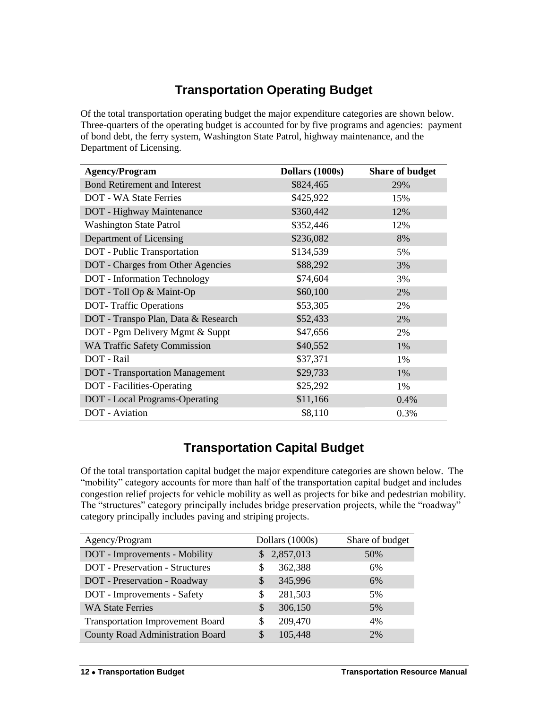# **Transportation Operating Budget**

Of the total transportation operating budget the major expenditure categories are shown below. Three-quarters of the operating budget is accounted for by five programs and agencies: payment of bond debt, the ferry system, Washington State Patrol, highway maintenance, and the Department of Licensing.

| <b>Agency/Program</b>                  | Dollars (1000s) | <b>Share of budget</b> |
|----------------------------------------|-----------------|------------------------|
| <b>Bond Retirement and Interest</b>    | \$824,465       | 29%                    |
| <b>DOT</b> - WA State Ferries          | \$425,922       | 15%                    |
| DOT - Highway Maintenance              | \$360,442       | 12%                    |
| <b>Washington State Patrol</b>         | \$352,446       | 12%                    |
| Department of Licensing                | \$236,082       | 8%                     |
| DOT - Public Transportation            | \$134,539       | 5%                     |
| DOT - Charges from Other Agencies      | \$88,292        | 3%                     |
| <b>DOT</b> - Information Technology    | \$74,604        | 3%                     |
| DOT - Toll Op & Maint-Op               | \$60,100        | 2%                     |
| <b>DOT-Traffic Operations</b>          | \$53,305        | 2%                     |
| DOT - Transpo Plan, Data & Research    | \$52,433        | 2%                     |
| DOT - Pgm Delivery Mgmt & Suppt        | \$47,656        | 2%                     |
| <b>WA Traffic Safety Commission</b>    | \$40,552        | 1%                     |
| DOT - Rail                             | \$37,371        | 1%                     |
| <b>DOT</b> - Transportation Management | \$29,733        | 1%                     |
| DOT - Facilities-Operating             | \$25,292        | 1%                     |
| DOT - Local Programs-Operating         | \$11,166        | 0.4%                   |
| <b>DOT</b> - Aviation                  | \$8,110         | 0.3%                   |

# **Transportation Capital Budget**

<span id="page-3-0"></span>Of the total transportation capital budget the major expenditure categories are shown below. The "mobility" category accounts for more than half of the transportation capital budget and includes congestion relief projects for vehicle mobility as well as projects for bike and pedestrian mobility. The "structures" category principally includes bridge preservation projects, while the "roadway" category principally includes paving and striping projects.

| Agency/Program                          | Dollars (1000s)          | Share of budget |
|-----------------------------------------|--------------------------|-----------------|
| DOT - Improvements - Mobility           | \$2,857,013              | 50%             |
| <b>DOT</b> - Preservation - Structures  | 362,388<br>S             | 6%              |
| DOT - Preservation - Roadway            | 345,996<br>S             | 6%              |
| DOT - Improvements - Safety             | 281,503<br>S             | 5%              |
| <b>WA State Ferries</b>                 | 306,150<br>$\mathcal{S}$ | 5%              |
| <b>Transportation Improvement Board</b> | 209,470<br>S             | 4%              |
| County Road Administration Board        | 105,448<br>\$            | 2%              |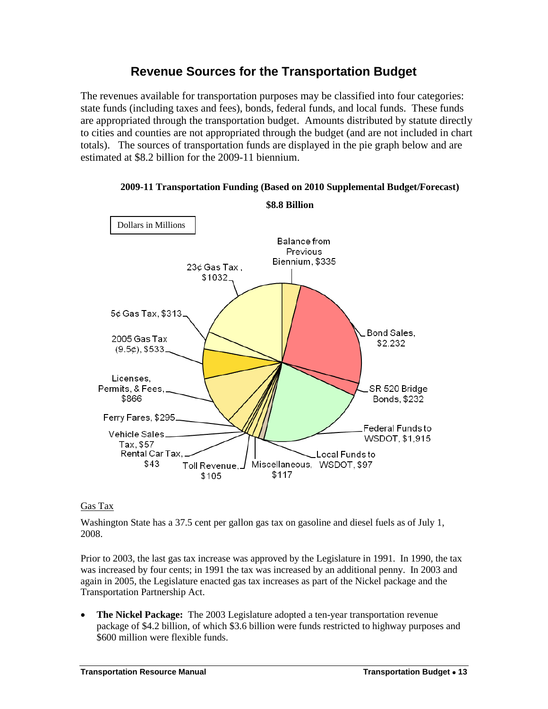# **Revenue Sources for the Transportation Budget**

<span id="page-4-0"></span>The revenues available for transportation purposes may be classified into four categories: state funds (including taxes and fees), bonds, federal funds, and local funds. These funds are appropriated through the transportation budget. Amounts distributed by statute directly to cities and counties are not appropriated through the budget (and are not included in chart totals). The sources of transportation funds are displayed in the pie graph below and are estimated at \$8.2 billion for the 2009-11 biennium.



### **2009-11 Transportation Funding (Based on 2010 Supplemental Budget/Forecast)**

### Gas Tax

Washington State has a 37.5 cent per gallon gas tax on gasoline and diesel fuels as of July 1, 2008.

Prior to 2003, the last gas tax increase was approved by the Legislature in 1991. In 1990, the tax was increased by four cents; in 1991 the tax was increased by an additional penny. In 2003 and again in 2005, the Legislature enacted gas tax increases as part of the Nickel package and the Transportation Partnership Act.

 **The Nickel Package:** The 2003 Legislature adopted a ten-year transportation revenue package of \$4.2 billion, of which \$3.6 billion were funds restricted to highway purposes and \$600 million were flexible funds.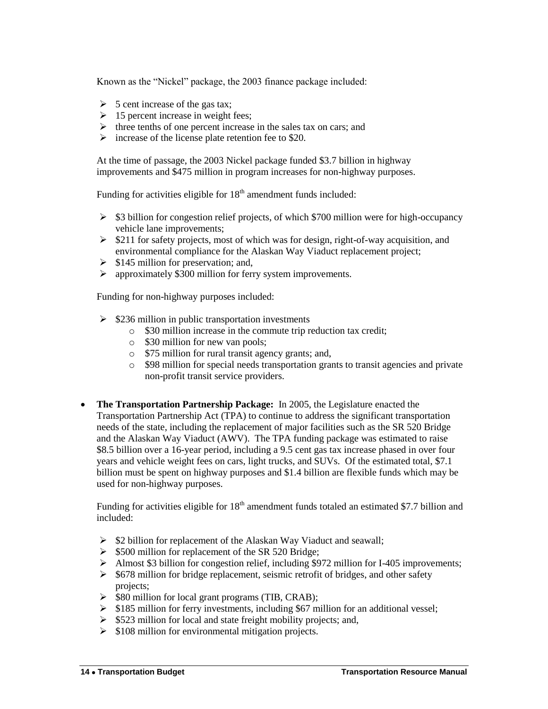Known as the "Nickel" package, the 2003 finance package included:

- $\triangleright$  5 cent increase of the gas tax;
- $\geq 15$  percent increase in weight fees:
- $\triangleright$  three tenths of one percent increase in the sales tax on cars; and
- $\triangleright$  increase of the license plate retention fee to \$20.

At the time of passage, the 2003 Nickel package funded \$3.7 billion in highway improvements and \$475 million in program increases for non-highway purposes.

Funding for activities eligible for  $18<sup>th</sup>$  amendment funds included:

- $\geq$  \$3 billion for congestion relief projects, of which \$700 million were for high-occupancy vehicle lane improvements;
- $\geq$  \$211 for safety projects, most of which was for design, right-of-way acquisition, and environmental compliance for the Alaskan Way Viaduct replacement project;
- $\geq$  \$145 million for preservation; and,
- approximately \$300 million for ferry system improvements.

Funding for non-highway purposes included:

- $\geq$  \$236 million in public transportation investments
	- o \$30 million increase in the commute trip reduction tax credit;
	- o \$30 million for new van pools;
	- o \$75 million for rural transit agency grants; and,
	- o \$98 million for special needs transportation grants to transit agencies and private non-profit transit service providers.
- **The Transportation Partnership Package:** In 2005, the Legislature enacted the Transportation Partnership Act (TPA) to continue to address the significant transportation needs of the state, including the replacement of major facilities such as the SR 520 Bridge and the Alaskan Way Viaduct (AWV). The TPA funding package was estimated to raise \$8.5 billion over a 16-year period, including a 9.5 cent gas tax increase phased in over four years and vehicle weight fees on cars, light trucks, and SUVs. Of the estimated total, \$7.1 billion must be spent on highway purposes and \$1.4 billion are flexible funds which may be used for non-highway purposes.

Funding for activities eligible for  $18<sup>th</sup>$  amendment funds totaled an estimated \$7.7 billion and included:

- $\triangleright$  \$2 billion for replacement of the Alaskan Way Viaduct and seawall;
- $\geq$  \$500 million for replacement of the SR 520 Bridge;
- Almost \$3 billion for congestion relief, including \$972 million for I-405 improvements;
- $\geq$  \$678 million for bridge replacement, seismic retrofit of bridges, and other safety projects;
- $\triangleright$  \$80 million for local grant programs (TIB, CRAB);
- $\geq$  \$185 million for ferry investments, including \$67 million for an additional vessel;
- $\triangleright$  \$523 million for local and state freight mobility projects; and,
- $\geq$  \$108 million for environmental mitigation projects.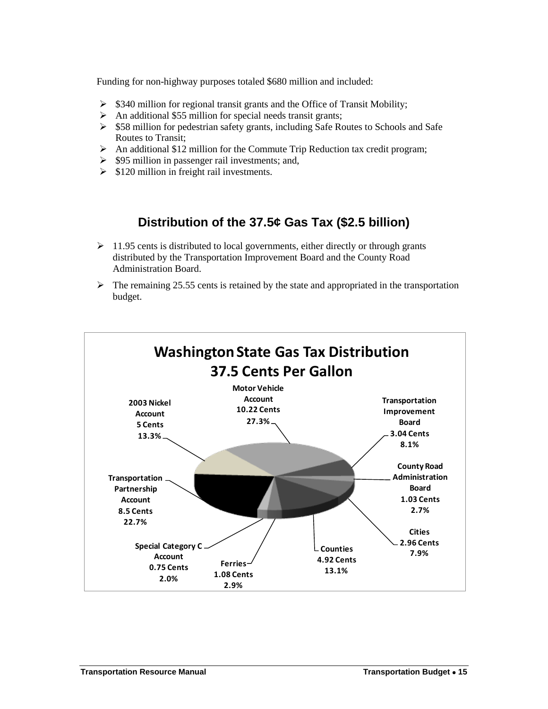Funding for non-highway purposes totaled \$680 million and included:

- $\triangleright$  \$340 million for regional transit grants and the Office of Transit Mobility;
- $\triangleright$  An additional \$55 million for special needs transit grants;
- $\geq$  \$58 million for pedestrian safety grants, including Safe Routes to Schools and Safe Routes to Transit;
- $\triangleright$  An additional \$12 million for the Commute Trip Reduction tax credit program;
- $\geq$  \$95 million in passenger rail investments; and,
- $\geq$  \$120 million in freight rail investments.

# **Distribution of the 37.5¢ Gas Tax (\$2.5 billion)**

- <span id="page-6-0"></span> $\geq 11.95$  cents is distributed to local governments, either directly or through grants distributed by the Transportation Improvement Board and the County Road Administration Board.
- $\triangleright$  The remaining 25.55 cents is retained by the state and appropriated in the transportation budget.

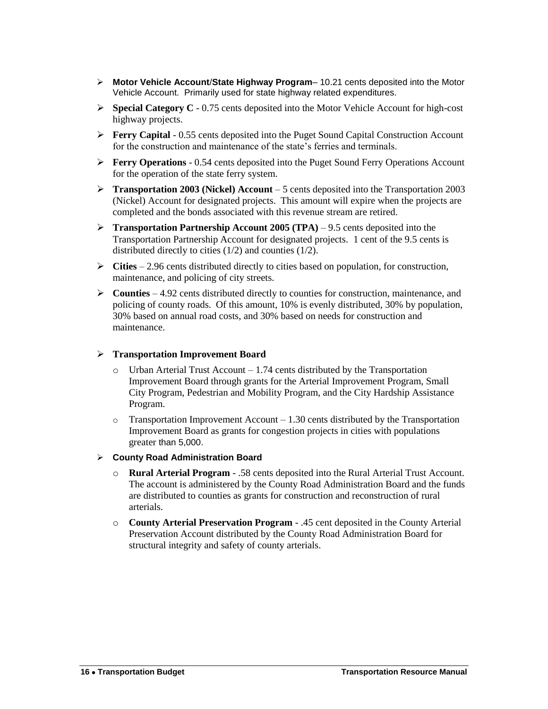- **Motor Vehicle Account**/**State Highway Program** 10.21 cents deposited into the Motor Vehicle Account. Primarily used for state highway related expenditures.
- **Special Category C** 0.75 cents deposited into the Motor Vehicle Account for high-cost highway projects.
- **Ferry Capital** 0.55 cents deposited into the Puget Sound Capital Construction Account for the construction and maintenance of the state's ferries and terminals.
- **Ferry Operations** 0.54 cents deposited into the Puget Sound Ferry Operations Account for the operation of the state ferry system.
- **Transportation 2003 (Nickel) Account** 5 cents deposited into the Transportation 2003 (Nickel) Account for designated projects. This amount will expire when the projects are completed and the bonds associated with this revenue stream are retired.
- **Transportation Partnership Account 2005 (TPA) 9.5 cents deposited into the** Transportation Partnership Account for designated projects. 1 cent of the 9.5 cents is distributed directly to cities (1/2) and counties (1/2).
- **Cities** 2.96 cents distributed directly to cities based on population, for construction, maintenance, and policing of city streets.
- **Counties** 4.92 cents distributed directly to counties for construction, maintenance, and policing of county roads. Of this amount, 10% is evenly distributed, 30% by population, 30% based on annual road costs, and 30% based on needs for construction and maintenance.

#### **Transportation Improvement Board**

- $\circ$  Urban Arterial Trust Account 1.74 cents distributed by the Transportation Improvement Board through grants for the Arterial Improvement Program, Small City Program, Pedestrian and Mobility Program, and the City Hardship Assistance Program.
- $\circ$  Transportation Improvement Account 1.30 cents distributed by the Transportation Improvement Board as grants for congestion projects in cities with populations greater than 5,000.
- **County Road Administration Board**
	- o **Rural Arterial Program** .58 cents deposited into the Rural Arterial Trust Account. The account is administered by the County Road Administration Board and the funds are distributed to counties as grants for construction and reconstruction of rural arterials.
	- o **County Arterial Preservation Program** .45 cent deposited in the County Arterial Preservation Account distributed by the County Road Administration Board for structural integrity and safety of county arterials.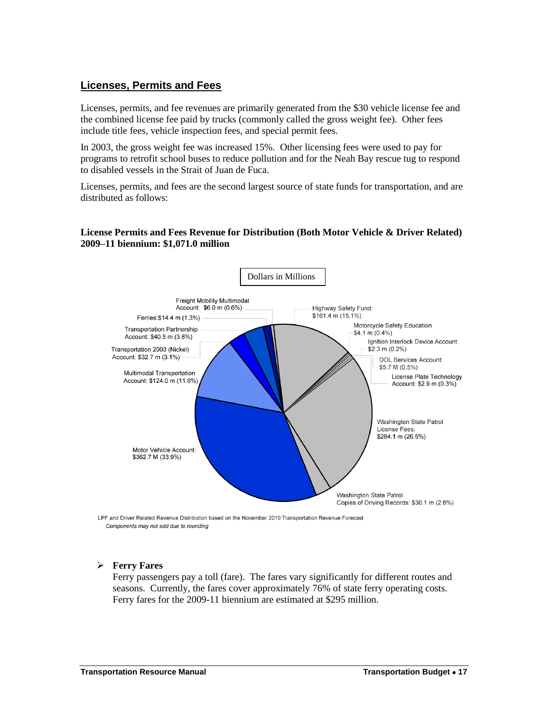### **Licenses, Permits and Fees**

Licenses, permits, and fee revenues are primarily generated from the \$30 vehicle license fee and the combined license fee paid by trucks (commonly called the gross weight fee). Other fees include title fees, vehicle inspection fees, and special permit fees.

In 2003, the gross weight fee was increased 15%. Other licensing fees were used to pay for programs to retrofit school buses to reduce pollution and for the Neah Bay rescue tug to respond to disabled vessels in the Strait of Juan de Fuca.

Licenses, permits, and fees are the second largest source of state funds for transportation, and are distributed as follows:

#### **License Permits and Fees Revenue for Distribution (Both Motor Vehicle & Driver Related) 2009–11 biennium: \$1,071.0 million**



LPF and Driver Related Revenue Distribution based on the November 2010 Transportation Revenue Forecast Components may not add due to rounding

#### **Ferry Fares**

Ferry passengers pay a toll (fare). The fares vary significantly for different routes and seasons. Currently, the fares cover approximately 76% of state ferry operating costs. Ferry fares for the 2009-11 biennium are estimated at \$295 million.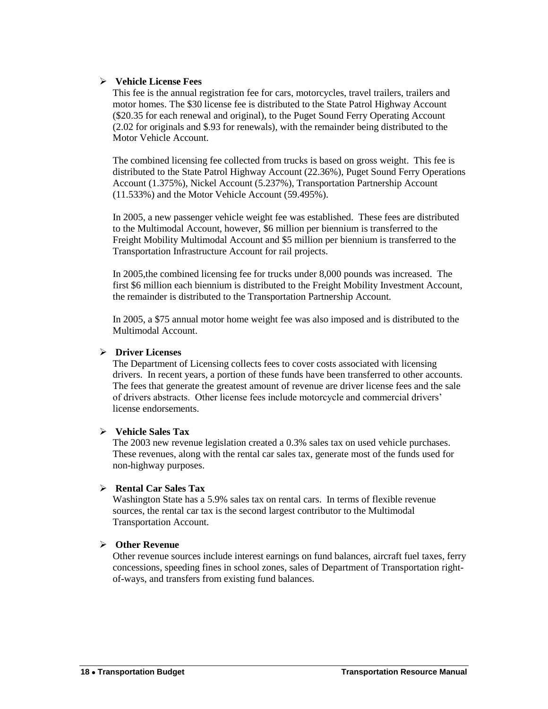#### **Vehicle License Fees**

This fee is the annual registration fee for cars, motorcycles, travel trailers, trailers and motor homes. The \$30 license fee is distributed to the State Patrol Highway Account (\$20.35 for each renewal and original), to the Puget Sound Ferry Operating Account (2.02 for originals and \$.93 for renewals), with the remainder being distributed to the Motor Vehicle Account.

The combined licensing fee collected from trucks is based on gross weight. This fee is distributed to the State Patrol Highway Account (22.36%), Puget Sound Ferry Operations Account (1.375%), Nickel Account (5.237%), Transportation Partnership Account (11.533%) and the Motor Vehicle Account (59.495%).

In 2005, a new passenger vehicle weight fee was established. These fees are distributed to the Multimodal Account, however, \$6 million per biennium is transferred to the Freight Mobility Multimodal Account and \$5 million per biennium is transferred to the Transportation Infrastructure Account for rail projects.

In 2005,the combined licensing fee for trucks under 8,000 pounds was increased. The first \$6 million each biennium is distributed to the Freight Mobility Investment Account, the remainder is distributed to the Transportation Partnership Account.

In 2005, a \$75 annual motor home weight fee was also imposed and is distributed to the Multimodal Account.

#### **Driver Licenses**

The Department of Licensing collects fees to cover costs associated with licensing drivers. In recent years, a portion of these funds have been transferred to other accounts. The fees that generate the greatest amount of revenue are driver license fees and the sale of drivers abstracts. Other license fees include motorcycle and commercial drivers' license endorsements.

#### **Vehicle Sales Tax**

The 2003 new revenue legislation created a 0.3% sales tax on used vehicle purchases. These revenues, along with the rental car sales tax, generate most of the funds used for non-highway purposes.

### **Rental Car Sales Tax**

Washington State has a 5.9% sales tax on rental cars. In terms of flexible revenue sources, the rental car tax is the second largest contributor to the Multimodal Transportation Account.

### **Other Revenue**

Other revenue sources include interest earnings on fund balances, aircraft fuel taxes, ferry concessions, speeding fines in school zones, sales of Department of Transportation rightof-ways, and transfers from existing fund balances.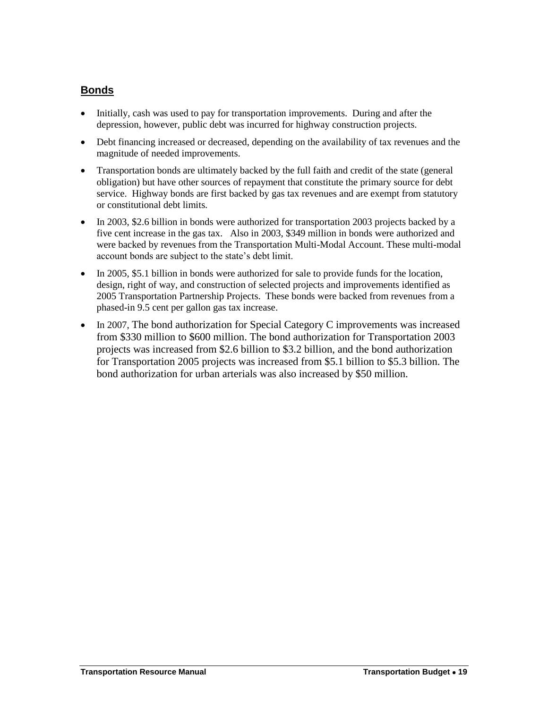### **Bonds**

- Initially, cash was used to pay for transportation improvements. During and after the depression, however, public debt was incurred for highway construction projects.
- Debt financing increased or decreased, depending on the availability of tax revenues and the magnitude of needed improvements.
- Transportation bonds are ultimately backed by the full faith and credit of the state (general obligation) but have other sources of repayment that constitute the primary source for debt service. Highway bonds are first backed by gas tax revenues and are exempt from statutory or constitutional debt limits.
- In 2003, \$2.6 billion in bonds were authorized for transportation 2003 projects backed by a five cent increase in the gas tax. Also in 2003, \$349 million in bonds were authorized and were backed by revenues from the Transportation Multi-Modal Account. These multi-modal account bonds are subject to the state's debt limit.
- In 2005, \$5.1 billion in bonds were authorized for sale to provide funds for the location, design, right of way, and construction of selected projects and improvements identified as 2005 Transportation Partnership Projects. These bonds were backed from revenues from a phased-in 9.5 cent per gallon gas tax increase.
- In 2007, The bond authorization for Special Category C improvements was increased from \$330 million to \$600 million. The bond authorization for Transportation 2003 projects was increased from \$2.6 billion to \$3.2 billion, and the bond authorization for Transportation 2005 projects was increased from \$5.1 billion to \$5.3 billion. The bond authorization for urban arterials was also increased by \$50 million.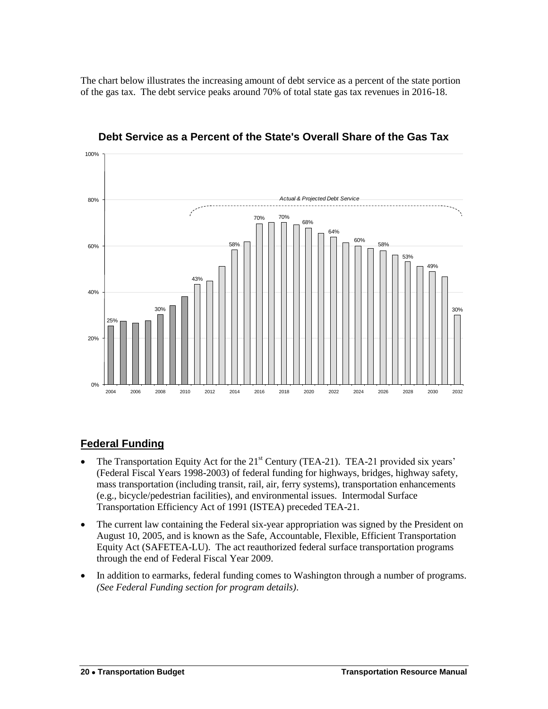The chart below illustrates the increasing amount of debt service as a percent of the state portion of the gas tax. The debt service peaks around 70% of total state gas tax revenues in 2016-18.



**Debt Service as a Percent of the State's Overall Share of the Gas Tax**

### **Federal Funding**

- The Transportation Equity Act for the 21<sup>st</sup> Century (TEA-21). TEA-21 provided six years' (Federal Fiscal Years 1998-2003) of federal funding for highways, bridges, highway safety, mass transportation (including transit, rail, air, ferry systems), transportation enhancements (e.g., bicycle/pedestrian facilities), and environmental issues. Intermodal Surface Transportation Efficiency Act of 1991 (ISTEA) preceded TEA-21.
- The current law containing the Federal six-year appropriation was signed by the President on August 10, 2005, and is known as the Safe, Accountable, Flexible, Efficient Transportation Equity Act (SAFETEA-LU). The act reauthorized federal surface transportation programs through the end of Federal Fiscal Year 2009.
- In addition to earmarks, federal funding comes to Washington through a number of programs. *(See Federal Funding section for program details)*.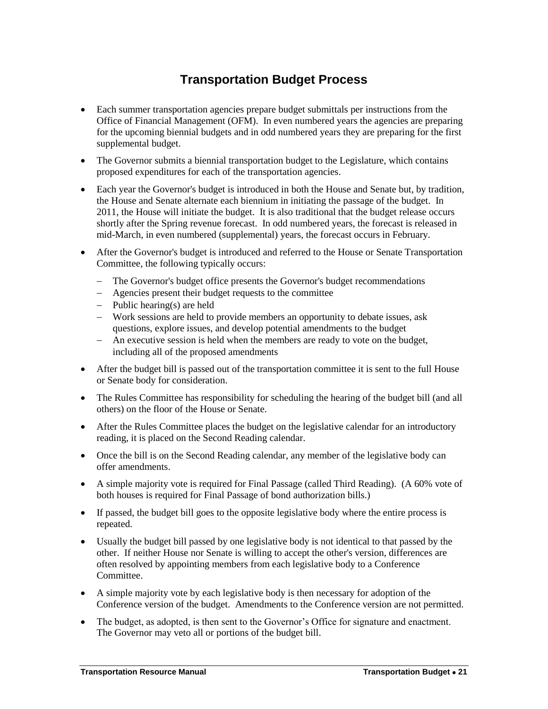# **Transportation Budget Process**

- <span id="page-12-0"></span> Each summer transportation agencies prepare budget submittals per instructions from the Office of Financial Management (OFM). In even numbered years the agencies are preparing for the upcoming biennial budgets and in odd numbered years they are preparing for the first supplemental budget.
- The Governor submits a biennial transportation budget to the Legislature, which contains proposed expenditures for each of the transportation agencies.
- Each year the Governor's budget is introduced in both the House and Senate but, by tradition, the House and Senate alternate each biennium in initiating the passage of the budget. In 2011, the House will initiate the budget. It is also traditional that the budget release occurs shortly after the Spring revenue forecast. In odd numbered years, the forecast is released in mid-March, in even numbered (supplemental) years, the forecast occurs in February.
- After the Governor's budget is introduced and referred to the House or Senate Transportation Committee, the following typically occurs:
	- The Governor's budget office presents the Governor's budget recommendations
	- Agencies present their budget requests to the committee
	- $-$  Public hearing(s) are held
	- Work sessions are held to provide members an opportunity to debate issues, ask questions, explore issues, and develop potential amendments to the budget
	- An executive session is held when the members are ready to vote on the budget, including all of the proposed amendments
- After the budget bill is passed out of the transportation committee it is sent to the full House or Senate body for consideration.
- The Rules Committee has responsibility for scheduling the hearing of the budget bill (and all others) on the floor of the House or Senate.
- After the Rules Committee places the budget on the legislative calendar for an introductory reading, it is placed on the Second Reading calendar.
- Once the bill is on the Second Reading calendar, any member of the legislative body can offer amendments.
- A simple majority vote is required for Final Passage (called Third Reading). (A 60% vote of both houses is required for Final Passage of bond authorization bills.)
- If passed, the budget bill goes to the opposite legislative body where the entire process is repeated.
- Usually the budget bill passed by one legislative body is not identical to that passed by the other. If neither House nor Senate is willing to accept the other's version, differences are often resolved by appointing members from each legislative body to a Conference Committee.
- A simple majority vote by each legislative body is then necessary for adoption of the Conference version of the budget. Amendments to the Conference version are not permitted.
- The budget, as adopted, is then sent to the Governor's Office for signature and enactment. The Governor may veto all or portions of the budget bill.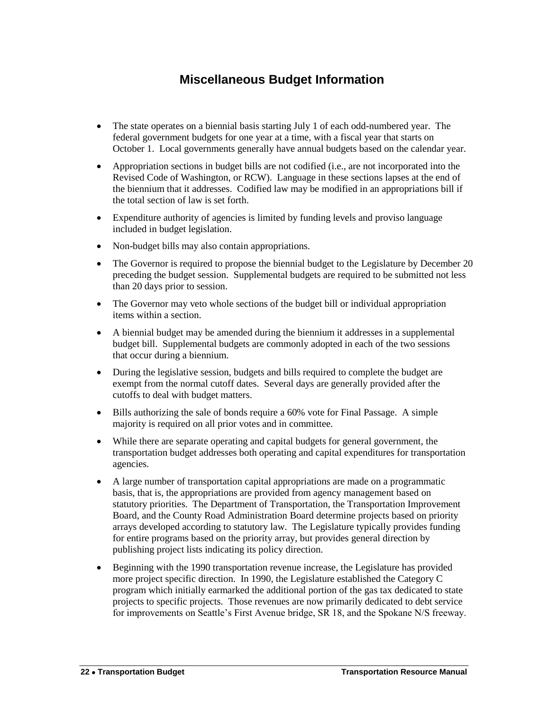# **Miscellaneous Budget Information**

- <span id="page-13-0"></span>• The state operates on a biennial basis starting July 1 of each odd-numbered year. The federal government budgets for one year at a time, with a fiscal year that starts on October 1. Local governments generally have annual budgets based on the calendar year.
- Appropriation sections in budget bills are not codified (i.e., are not incorporated into the Revised Code of Washington, or RCW). Language in these sections lapses at the end of the biennium that it addresses. Codified law may be modified in an appropriations bill if the total section of law is set forth.
- Expenditure authority of agencies is limited by funding levels and proviso language included in budget legislation.
- Non-budget bills may also contain appropriations.
- The Governor is required to propose the biennial budget to the Legislature by December 20 preceding the budget session. Supplemental budgets are required to be submitted not less than 20 days prior to session.
- The Governor may veto whole sections of the budget bill or individual appropriation items within a section.
- A biennial budget may be amended during the biennium it addresses in a supplemental budget bill. Supplemental budgets are commonly adopted in each of the two sessions that occur during a biennium.
- During the legislative session, budgets and bills required to complete the budget are exempt from the normal cutoff dates. Several days are generally provided after the cutoffs to deal with budget matters.
- Bills authorizing the sale of bonds require a 60% vote for Final Passage. A simple majority is required on all prior votes and in committee.
- While there are separate operating and capital budgets for general government, the transportation budget addresses both operating and capital expenditures for transportation agencies.
- A large number of transportation capital appropriations are made on a programmatic basis, that is, the appropriations are provided from agency management based on statutory priorities. The Department of Transportation, the Transportation Improvement Board, and the County Road Administration Board determine projects based on priority arrays developed according to statutory law. The Legislature typically provides funding for entire programs based on the priority array, but provides general direction by publishing project lists indicating its policy direction.
- Beginning with the 1990 transportation revenue increase, the Legislature has provided more project specific direction. In 1990, the Legislature established the Category C program which initially earmarked the additional portion of the gas tax dedicated to state projects to specific projects. Those revenues are now primarily dedicated to debt service for improvements on Seattle's First Avenue bridge, SR 18, and the Spokane N/S freeway.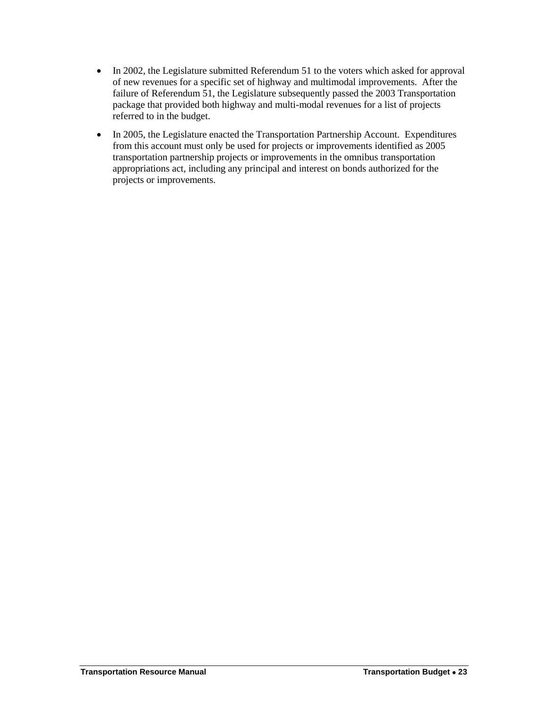- In 2002, the Legislature submitted Referendum 51 to the voters which asked for approval of new revenues for a specific set of highway and multimodal improvements. After the failure of Referendum 51, the Legislature subsequently passed the 2003 Transportation package that provided both highway and multi-modal revenues for a list of projects referred to in the budget.
- In 2005, the Legislature enacted the Transportation Partnership Account. Expenditures from this account must only be used for projects or improvements identified as 2005 transportation partnership projects or improvements in the omnibus transportation appropriations act, including any principal and interest on bonds authorized for the projects or improvements.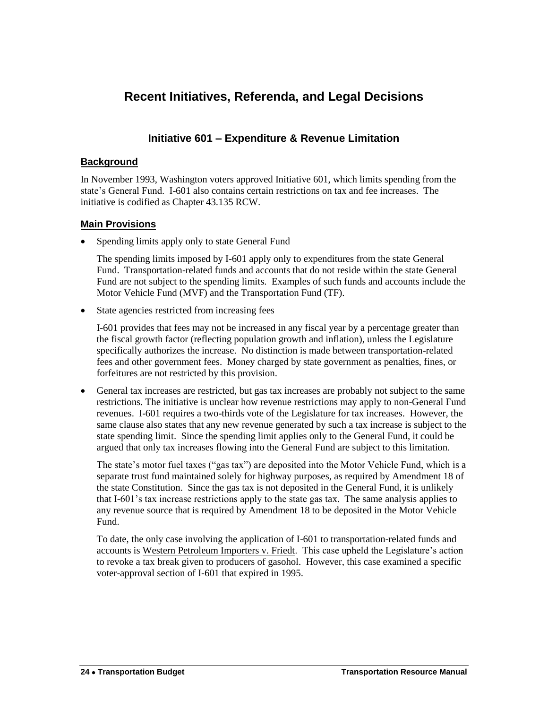# <span id="page-15-0"></span>**Recent Initiatives, Referenda, and Legal Decisions**

### **Initiative 601 – Expenditure & Revenue Limitation**

### **Background**

In November 1993, Washington voters approved Initiative 601, which limits spending from the state's General Fund. I-601 also contains certain restrictions on tax and fee increases. The initiative is codified as Chapter 43.135 RCW.

### **Main Provisions**

• Spending limits apply only to state General Fund

The spending limits imposed by I-601 apply only to expenditures from the state General Fund. Transportation-related funds and accounts that do not reside within the state General Fund are not subject to the spending limits. Examples of such funds and accounts include the Motor Vehicle Fund (MVF) and the Transportation Fund (TF).

State agencies restricted from increasing fees

I-601 provides that fees may not be increased in any fiscal year by a percentage greater than the fiscal growth factor (reflecting population growth and inflation), unless the Legislature specifically authorizes the increase. No distinction is made between transportation-related fees and other government fees. Money charged by state government as penalties, fines, or forfeitures are not restricted by this provision.

 General tax increases are restricted, but gas tax increases are probably not subject to the same restrictions. The initiative is unclear how revenue restrictions may apply to non-General Fund revenues. I-601 requires a two-thirds vote of the Legislature for tax increases. However, the same clause also states that any new revenue generated by such a tax increase is subject to the state spending limit. Since the spending limit applies only to the General Fund, it could be argued that only tax increases flowing into the General Fund are subject to this limitation.

The state's motor fuel taxes ("gas tax") are deposited into the Motor Vehicle Fund, which is a separate trust fund maintained solely for highway purposes, as required by Amendment 18 of the state Constitution. Since the gas tax is not deposited in the General Fund, it is unlikely that I-601's tax increase restrictions apply to the state gas tax. The same analysis applies to any revenue source that is required by Amendment 18 to be deposited in the Motor Vehicle Fund.

To date, the only case involving the application of I-601 to transportation-related funds and accounts is Western Petroleum Importers v. Friedt. This case upheld the Legislature's action to revoke a tax break given to producers of gasohol. However, this case examined a specific voter-approval section of I-601 that expired in 1995.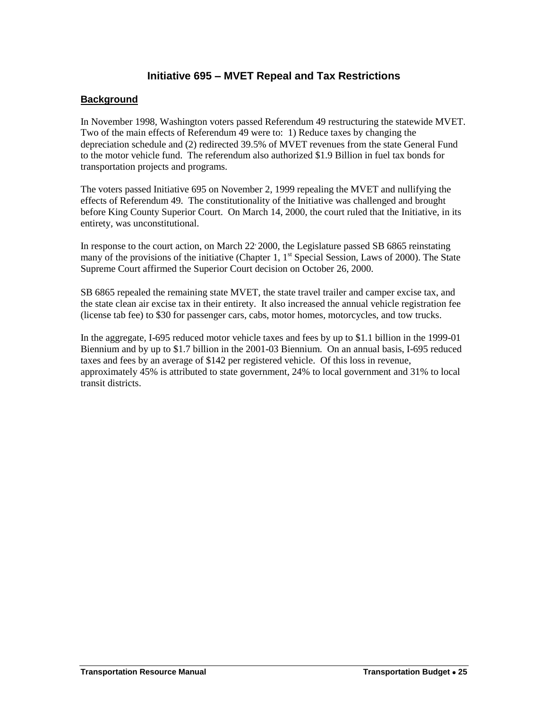### **Initiative 695 – MVET Repeal and Tax Restrictions**

### **Background**

In November 1998, Washington voters passed Referendum 49 restructuring the statewide MVET. Two of the main effects of Referendum 49 were to: 1) Reduce taxes by changing the depreciation schedule and (2) redirected 39.5% of MVET revenues from the state General Fund to the motor vehicle fund. The referendum also authorized \$1.9 Billion in fuel tax bonds for transportation projects and programs.

The voters passed Initiative 695 on November 2, 1999 repealing the MVET and nullifying the effects of Referendum 49. The constitutionality of the Initiative was challenged and brought before King County Superior Court. On March 14, 2000, the court ruled that the Initiative, in its entirety, was unconstitutional.

In response to the court action, on March 22 2000, the Legislature passed SB 6865 reinstating many of the provisions of the initiative (Chapter 1,  $1<sup>st</sup>$  Special Session, Laws of 2000). The State Supreme Court affirmed the Superior Court decision on October 26, 2000.

SB 6865 repealed the remaining state MVET, the state travel trailer and camper excise tax, and the state clean air excise tax in their entirety. It also increased the annual vehicle registration fee (license tab fee) to \$30 for passenger cars, cabs, motor homes, motorcycles, and tow trucks.

In the aggregate, I-695 reduced motor vehicle taxes and fees by up to \$1.1 billion in the 1999-01 Biennium and by up to \$1.7 billion in the 2001-03 Biennium. On an annual basis, I-695 reduced taxes and fees by an average of \$142 per registered vehicle. Of this loss in revenue, approximately 45% is attributed to state government, 24% to local government and 31% to local transit districts.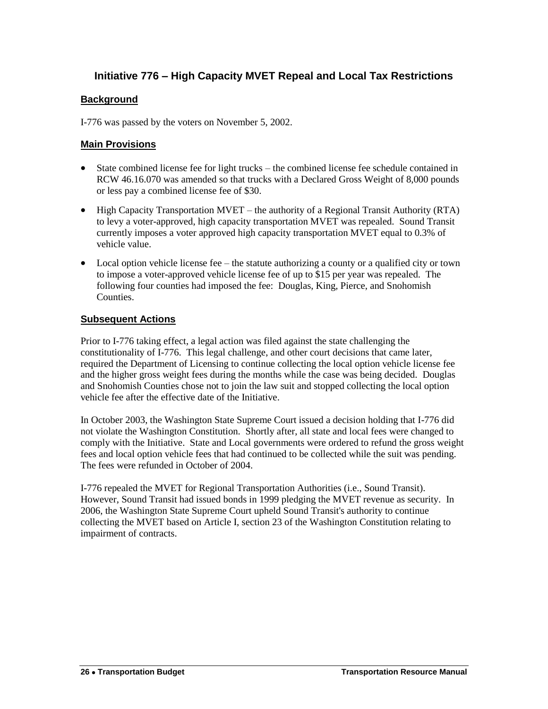### **Initiative 776 – High Capacity MVET Repeal and Local Tax Restrictions**

### **Background**

I-776 was passed by the voters on November 5, 2002.

### **Main Provisions**

- State combined license fee for light trucks the combined license fee schedule contained in RCW 46.16.070 was amended so that trucks with a Declared Gross Weight of 8,000 pounds or less pay a combined license fee of \$30.
- High Capacity Transportation MVET the authority of a Regional Transit Authority (RTA) to levy a voter-approved, high capacity transportation MVET was repealed. Sound Transit currently imposes a voter approved high capacity transportation MVET equal to 0.3% of vehicle value.
- Local option vehicle license fee the statute authorizing a county or a qualified city or town to impose a voter-approved vehicle license fee of up to \$15 per year was repealed. The following four counties had imposed the fee: Douglas, King, Pierce, and Snohomish Counties.

### **Subsequent Actions**

Prior to I-776 taking effect, a legal action was filed against the state challenging the constitutionality of I-776. This legal challenge, and other court decisions that came later, required the Department of Licensing to continue collecting the local option vehicle license fee and the higher gross weight fees during the months while the case was being decided. Douglas and Snohomish Counties chose not to join the law suit and stopped collecting the local option vehicle fee after the effective date of the Initiative.

In October 2003, the Washington State Supreme Court issued a decision holding that I-776 did not violate the Washington Constitution. Shortly after, all state and local fees were changed to comply with the Initiative. State and Local governments were ordered to refund the gross weight fees and local option vehicle fees that had continued to be collected while the suit was pending. The fees were refunded in October of 2004.

I-776 repealed the MVET for Regional Transportation Authorities (i.e., Sound Transit). However, Sound Transit had issued bonds in 1999 pledging the MVET revenue as security. In 2006, the Washington State Supreme Court upheld Sound Transit's authority to continue collecting the MVET based on Article I, section 23 of the Washington Constitution relating to impairment of contracts.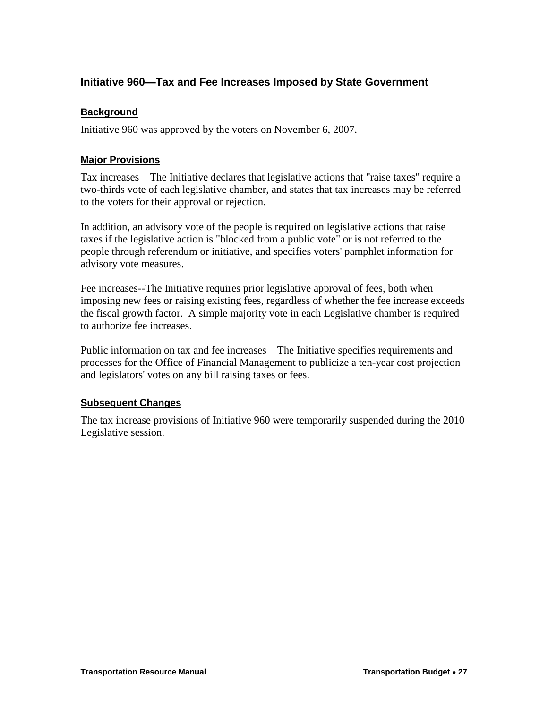### **Initiative 960—Tax and Fee Increases Imposed by State Government**

### **Background**

Initiative 960 was approved by the voters on November 6, 2007.

### **Major Provisions**

Tax increases—The Initiative declares that legislative actions that "raise taxes" require a two-thirds vote of each legislative chamber, and states that tax increases may be referred to the voters for their approval or rejection.

In addition, an advisory vote of the people is required on legislative actions that raise taxes if the legislative action is "blocked from a public vote" or is not referred to the people through referendum or initiative, and specifies voters' pamphlet information for advisory vote measures.

Fee increases--The Initiative requires prior legislative approval of fees, both when imposing new fees or raising existing fees, regardless of whether the fee increase exceeds the fiscal growth factor. A simple majority vote in each Legislative chamber is required to authorize fee increases.

Public information on tax and fee increases—The Initiative specifies requirements and processes for the Office of Financial Management to publicize a ten-year cost projection and legislators' votes on any bill raising taxes or fees.

### **Subsequent Changes**

The tax increase provisions of Initiative 960 were temporarily suspended during the 2010 Legislative session.